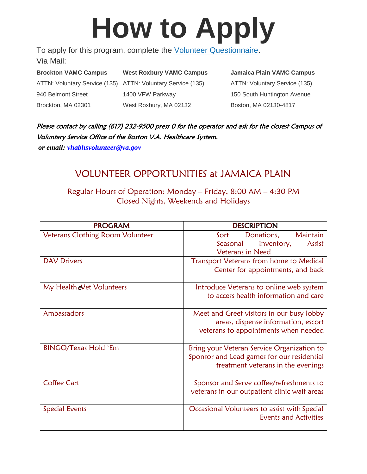# **How to Apply**

To apply for this program, complete the [Volunteer Questionnaire.](https://prod.cms.va.gov/sites/default/files/2021-11/2volunteer_questionnaire-2021.pdf) Via Mail:

**Brockton VAMC Campus West Roxbury VAMC Campus Jamaica Plain VAMC Campus** ATTN: Voluntary Service (135) ATTN: Voluntary Service (135) ATTN: Voluntary Service (135) 940 Belmont Street 1400 VFW Parkway 150 South Huntington Avenue Brockton, MA 02301 West Roxbury, MA 02132 Boston, MA 02130-4817

Please contact by calling (617) 232-9500 press 0 for the operator and ask for the closest Campus of Voluntary Service Office of the Boston V.A. Healthcare System.

*or email: vhabhsvolunteer@va.gov*

# VOLUNTEER OPPORTUNITIES at JAMAICA PLAIN

Regular Hours of Operation: Monday – Friday, 8:00 AM – 4:30 PM Closed Nights, Weekends and Holidays

| <b>PROGRAM</b>                    | <b>DESCRIPTION</b>                           |  |  |
|-----------------------------------|----------------------------------------------|--|--|
| Veterans Clothing Room Volunteer  | Maintain<br>Sort<br>Donations,               |  |  |
|                                   | Seasonal<br>Inventory,<br>Assist             |  |  |
|                                   | <b>Veterans in Need</b>                      |  |  |
| <b>DAV Drivers</b>                | Transport Veterans from home to Medical      |  |  |
|                                   | Center for appointments, and back            |  |  |
| My Health <i>e</i> Vet Volunteers | Introduce Veterans to online web system      |  |  |
|                                   | to access health information and care        |  |  |
| Ambassadors                       | Meet and Greet visitors in our busy lobby    |  |  |
|                                   | areas, dispense information, escort          |  |  |
|                                   | veterans to appointments when needed         |  |  |
| <b>BINGO/Texas Hold 'Em</b>       | Bring your Veteran Service Organization to   |  |  |
|                                   | Sponsor and Lead games for our residential   |  |  |
|                                   | treatment veterans in the evenings           |  |  |
| <b>Coffee Cart</b>                | Sponsor and Serve coffee/refreshments to     |  |  |
|                                   | veterans in our outpatient clinic wait areas |  |  |
| <b>Special Events</b>             | Occasional Volunteers to assist with Special |  |  |
|                                   | <b>Events and Activities</b>                 |  |  |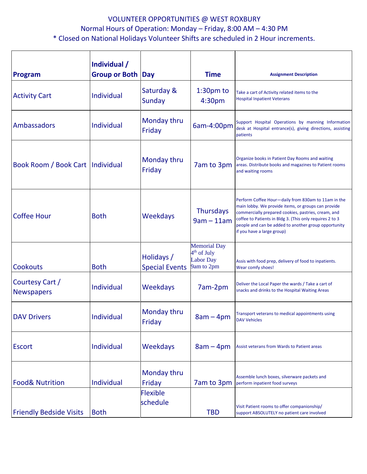## VOLUNTEER OPPORTUNITIES @ WEST ROXBURY Normal Hours of Operation: Monday – Friday, 8:00 AM – 4:30 PM \* Closed on National Holidays Volunteer Shifts are scheduled in 2 Hour increments.

| <b>Program</b>                       | Individual /<br><b>Group or Both Day</b> |                                          | <b>Time</b>                                                                      | <b>Assignment Description</b>                                                                                                                                                                                                                                                                                       |
|--------------------------------------|------------------------------------------|------------------------------------------|----------------------------------------------------------------------------------|---------------------------------------------------------------------------------------------------------------------------------------------------------------------------------------------------------------------------------------------------------------------------------------------------------------------|
| <b>Activity Cart</b>                 | Individual                               | Saturday &<br><b>Sunday</b>              | $1:30pm$ to<br>4:30pm                                                            | Take a cart of Activity related items to the<br><b>Hospital Inpatient Veterans</b>                                                                                                                                                                                                                                  |
| Ambassadors                          | Individual                               | Monday thru<br>Friday                    | 6am-4:00pm                                                                       | Support Hospital Operations by manning Information<br>desk at Hospital entrance(s), giving directions, assisting<br>patients                                                                                                                                                                                        |
| Book Room / Book Cart   Individual   |                                          | Monday thru<br>Friday                    | 7am to 3pm                                                                       | Organize books in Patient Day Rooms and waiting<br>areas. Distribute books and magazines to Patient rooms<br>and waiting rooms                                                                                                                                                                                      |
| <b>Coffee Hour</b>                   | <b>Both</b>                              | <b>Weekdays</b>                          | <b>Thursdays</b><br>$9am - 11am$                                                 | Perform Coffee Hour-daily from 830am to 11am in the<br>main lobby. We provide items, or groups can provide<br>commercially prepared cookies, pastries, cream, and<br>coffee to Patients in Bldg 3. (This only requires 2 to 3<br>people and can be added to another group opportunity<br>if you have a large group) |
| <b>Cookouts</b>                      | <b>Both</b>                              | Holidays /<br><b>Special Events</b>      | <b>Memorial Day</b><br>4 <sup>th</sup> of July<br><b>Labor Day</b><br>9am to 2pm | Assis with food prep, delivery of food to inpatients.<br>Wear comfy shoes!                                                                                                                                                                                                                                          |
| Courtesy Cart /<br><b>Newspapers</b> | Individual                               | <b>Weekdays</b>                          | 7am-2pm                                                                          | Deliver the Local Paper the wards / Take a cart of<br>snacks and drinks to the Hospital Waiting Areas                                                                                                                                                                                                               |
| <b>DAV Drivers</b>                   | Individual                               | Monday thru<br>Friday                    | $8am - 4pm$                                                                      | Transport veterans to medical appointments using<br><b>DAV Vehicles</b>                                                                                                                                                                                                                                             |
| <b>Escort</b>                        | Individual                               | <b>Weekdays</b>                          | $8am - 4pm$                                                                      | Assist veterans from Wards to Patient areas                                                                                                                                                                                                                                                                         |
| <b>Food&amp; Nutrition</b>           | Individual                               | Monday thru<br>Friday<br><b>Flexible</b> | 7am to 3pm                                                                       | Assemble lunch boxes, silverware packets and<br>perform inpatient food surveys                                                                                                                                                                                                                                      |
| <b>Friendly Bedside Visits</b>       | <b>Both</b>                              | schedule                                 | <b>TBD</b>                                                                       | Visit Patient rooms to offer companionship/<br>support ABSOLUTELY no patient care involved                                                                                                                                                                                                                          |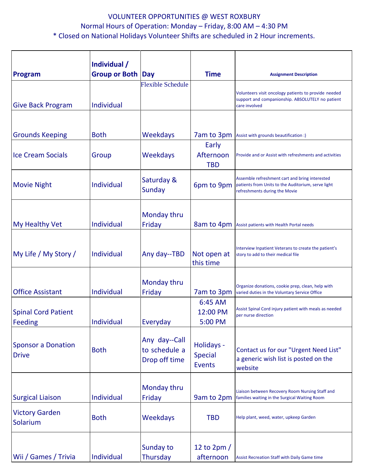### VOLUNTEER OPPORTUNITIES @ WEST ROXBURY Normal Hours of Operation: Monday – Friday, 8:00 AM – 4:30 PM \* Closed on National Holidays Volunteer Shifts are scheduled in 2 Hour increments.

| Program                                      | Individual /<br>Group or Both Day |                                                 | <b>Time</b>                                   | <b>Assignment Description</b>                                                                                                         |
|----------------------------------------------|-----------------------------------|-------------------------------------------------|-----------------------------------------------|---------------------------------------------------------------------------------------------------------------------------------------|
| <b>Give Back Program</b>                     | Individual                        | <b>Flexible Schedule</b>                        |                                               | Volunteers visit oncology patients to provide needed<br>support and companionship. ABSOLUTELY no patient<br>care involved             |
| <b>Grounds Keeping</b>                       | <b>Both</b>                       | Weekdays                                        | 7am to 3pm                                    |                                                                                                                                       |
| <b>Ice Cream Socials</b>                     | Group                             | Weekdays                                        | Early<br>Afternoon<br><b>TBD</b>              | Assist with grounds beautification :)<br>Provide and or Assist with refreshments and activities                                       |
| <b>Movie Night</b>                           | Individual                        | Saturday &<br>Sunday                            | 6pm to 9pm                                    | Assemble refreshment cart and bring interested<br>patients from Units to the Auditorium, serve light<br>refreshments during the Movie |
| My Healthy Vet                               | Individual                        | Monday thru<br>Friday                           | 8am to 4pm                                    | Assist patients with Health Portal needs                                                                                              |
| My Life / My Story /                         | Individual                        | Any day--TBD                                    | Not open at<br>this time                      | Interview Inpatient Veterans to create the patient's<br>story to add to their medical file                                            |
| <b>Office Assistant</b>                      | Individual                        | Monday thru<br>Friday                           | 7am to 3pm                                    | Organize donations, cookie prep, clean, help with<br>varied duties in the Voluntary Service Office                                    |
| <b>Spinal Cord Patient</b><br><b>Feeding</b> | Individual                        | Everyday                                        | 6:45 AM<br>12:00 PM<br>5:00 PM                | Assist Spinal Cord injury patient with meals as needed<br>per nurse direction                                                         |
| <b>Sponsor a Donation</b><br><b>Drive</b>    | <b>Both</b>                       | Any day--Call<br>to schedule a<br>Drop off time | Holidays -<br><b>Special</b><br><b>Events</b> | Contact us for our "Urgent Need List"<br>a generic wish list is posted on the<br>website                                              |
| <b>Surgical Liaison</b>                      | Individual                        | Monday thru<br>Friday                           | 9am to 2pm                                    | Liaison between Recovery Room Nursing Staff and<br>families waiting in the Surgical Waiting Room                                      |
| <b>Victory Garden</b><br>Solarium            | <b>Both</b>                       | <b>Weekdays</b>                                 | <b>TBD</b>                                    | Help plant, weed, water, upkeep Garden                                                                                                |
| Wii / Games / Trivia                         | Individual                        | Sunday to<br>Thursday                           | 12 to 2pm /<br>afternoon                      | <b>Assist Recreation Staff with Daily Game time</b>                                                                                   |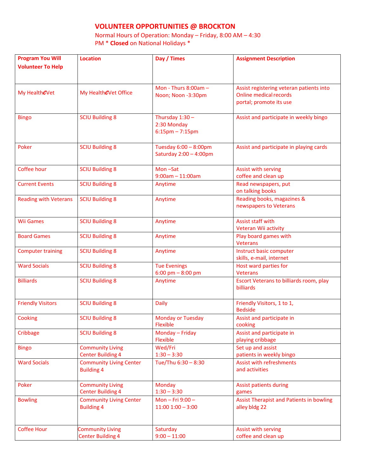#### **VOLUNTEER OPPORTUNITIES @ BROCKTON**

Normal Hours of Operation: Monday – Friday, 8:00 AM – 4:30 PM \* **Closed** on National Holidays \*

| <b>Program You Will</b>      | <b>Location</b>                                     | Day / Times                                              | <b>Assignment Description</b>                                                                        |
|------------------------------|-----------------------------------------------------|----------------------------------------------------------|------------------------------------------------------------------------------------------------------|
| <b>Volunteer To Help</b>     |                                                     |                                                          |                                                                                                      |
|                              |                                                     |                                                          |                                                                                                      |
| My HealtheVet                | My HealtheVet Office                                | Mon - Thurs $8:00$ am -<br>Noon; Noon -3:30pm            | Assist registering veteran patients into<br><b>Online medical records</b><br>portal; promote its use |
| <b>Bingo</b>                 | <b>SCIU Building 8</b>                              | Thursday $1:30 -$<br>2:30 Monday<br>$6:15$ pm $-7:15$ pm | Assist and participate in weekly bingo                                                               |
| Poker                        | <b>SCIU Building 8</b>                              | Tuesday 6:00 - 8:00pm<br>Saturday 2:00 - 4:00pm          | Assist and participate in playing cards                                                              |
| Coffee hour                  | <b>SCIU Building 8</b>                              | Mon-Sat<br>$9:00am - 11:00am$                            | Assist with serving<br>coffee and clean up                                                           |
| <b>Current Events</b>        | <b>SCIU Building 8</b>                              | Anytime                                                  | Read newspapers, put<br>on talking books                                                             |
| <b>Reading with Veterans</b> | <b>SCIU Building 8</b>                              | Anytime                                                  | Reading books, magazines &<br>newspapers to Veterans                                                 |
| <b>Wii Games</b>             | <b>SCIU Building 8</b>                              | Anytime                                                  | Assist staff with<br>Veteran Wii activity                                                            |
| <b>Board Games</b>           | <b>SCIU Building 8</b>                              | Anytime                                                  | Play board games with<br><b>Veterans</b>                                                             |
| <b>Computer training</b>     | <b>SCIU Building 8</b>                              | Anytime                                                  | Instruct basic computer<br>skills, e-mail, internet                                                  |
| <b>Ward Socials</b>          | <b>SCIU Building 8</b>                              | <b>Tue Evenings</b><br>$6:00$ pm $-8:00$ pm              | Host ward parties for<br><b>Veterans</b>                                                             |
| <b>Billiards</b>             | <b>SCIU Building 8</b>                              | Anytime                                                  | Escort Veterans to billiards room, play<br>billiards                                                 |
| <b>Friendly Visitors</b>     | <b>SCIU Building 8</b>                              | <b>Daily</b>                                             | Friendly Visitors, 1 to 1,<br><b>Bedside</b>                                                         |
| Cooking                      | <b>SCIU Building 8</b>                              | <b>Monday or Tuesday</b><br><b>Flexible</b>              | Assist and participate in<br>cooking                                                                 |
| Cribbage                     | <b>SCIU Building 8</b>                              | Monday - Friday<br><b>Flexible</b>                       | Assist and participate in<br>playing cribbage                                                        |
| <b>Bingo</b>                 | <b>Community Living</b><br><b>Center Building 4</b> | Wed/Fri<br>$1:30 - 3:30$                                 | Set up and assist<br>patients in weekly bingo                                                        |
| <b>Ward Socials</b>          | <b>Community Living Center</b><br><b>Building 4</b> | Tue/Thu 6:30 - 8:30                                      | <b>Assist with refreshments</b><br>and activities                                                    |
| Poker                        | <b>Community Living</b><br><b>Center Building 4</b> | <b>Monday</b><br>$1:30 - 3:30$                           | <b>Assist patients during</b><br>games                                                               |
| <b>Bowling</b>               | <b>Community Living Center</b><br><b>Building 4</b> | Mon-Fri 9:00-<br>$11:00$ $1:00 - 3:00$                   | <b>Assist Therapist and Patients in bowling</b><br>alley bldg 22                                     |
| <b>Coffee Hour</b>           | <b>Community Living</b><br><b>Center Building 4</b> | Saturday<br>$9:00 - 11:00$                               | Assist with serving<br>coffee and clean up                                                           |